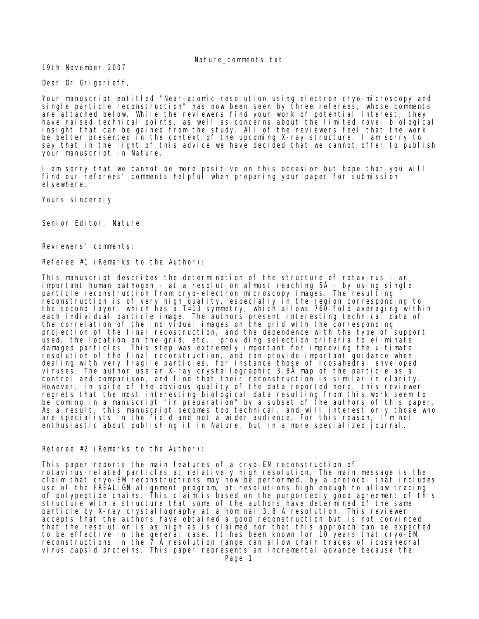Nature\_comments.txt

19th November 2007

Dear Dr Grigorieff,

Your manuscript entitled "Near-atomic resolution using electron cryo-microscopy and single particle reconstruction" has now been seen by three referees, whose comments are attached below. While the reviewers find your work of potential interest, they have raised technical points, as well as concerns about the limited novel biological insight that can be gained from the study. All of the reviewers feel that the work be better presented in the context of the upcoming X-ray structure. I am sorry to say that in the light of this advice we have decided that we cannot offer to publish your manuscript in Nature.

I am sorry that we cannot be more positive on this occasion but hope that you will find our referees' comments helpful when preparing your paper for submission el sewhere.

Yours sincerely

Seni or Editor, Nature

Reviewers' comments:

Referee #1 (Remarks to the Author):

This manuscript describes the determination of the structure of rotavirus - an important human pathogen - at a resolution almost reaching 5Å - by using single particle reconstruction from cryo-electron microscopy images. The resulting reconstruction is of very high quality, especially in the region corresponding to the second layer, which has a T=13 symmetry, which allows 760-fold averaging within each individual particle image. The authors present interesting technical data of the correlation of the individual images on the grid with the corresponding projection of the final recostruction, and the dependence with the type of support used, the location on the grid, etc., providing selection criteria to eliminate damaged particles. This step was extremely important for improving the ultimate resolution of the final reconstruction, and can provide important guidance when dealing with very fragile particles, for instance those of icosahedral enveloped viruses. The author use an X-ray crystallographic 3.8Å map of the particle as a control and comparison, and find that their reconstruction is similar in clarity. However, in spite of the obvious quality of the data reported here, this reviewer regrets that the most interesting biological data resulting from this work seem to be coming in a manuscript "in preparation" by a subset of the authors of this paper. As a result, this manuscript becomes too technical, and will interest only those who are specialists in the field and not a wider audience. For this reason, I'm not enthusiastic about publishing it in Nature, but in a more specialized journal.

Referee #2 (Remarks to the Author):

This paper reports the main features of a cryo-EM reconstruction of rotavirus-related particles at relatively high resolution. The main message is the claim that cryo-EM reconstructions may now be performed, by a protocol that includes use of the FREALIGN alignment program, at resolutions high enough to allow tracing of polypeptide chains. This claim is based on the purportedly good agreement of this structure with a structure that some of the authors have determined of the same particle by X-ray crystallography at a nominal 3.8 Å resolution. This reviewer accepts that the authors have obtained a good reconstruction but is not convinced that the resolution is as high as is claimed nor that this approach can be expected to be effective in the general case. It has been known for 10 years that cryo-EM reconstructions in the  $\overline{7}$  Å resolution range can allow chain traces of icosahedral virus capsid proteins. This paper represents an incremental advance because the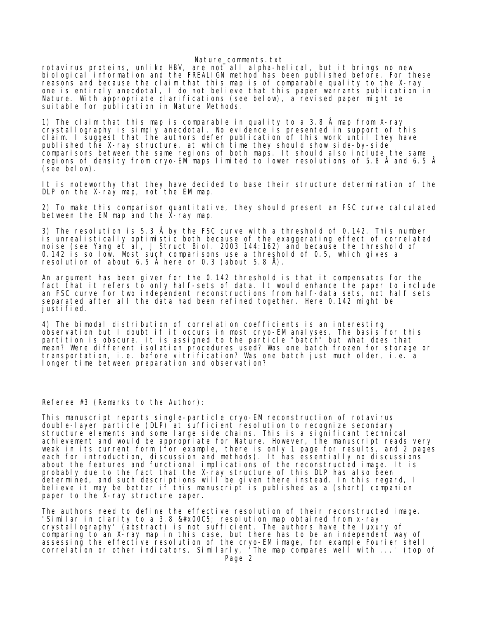## Nature comments.txt

rotavirus proteins, unlike HBV, are not all alpha-helical, but it brings no new biological information and the FREALIGN method has been published before. For these reasons and because the claim that this map is of comparable quality to the X-ray one is entirely anecdotal, I do not believe that this paper warrants publication in Nature. With appropriate clarifications (see below), a revised paper might be suitable for publication in Nature Methods.

1) The claim that this map is comparable in quality to a 3.8 Å map from X-ray crystallography is simply anecdotal. No evidence is presented in support of this claim. I suggest that the authors defer publication of this work until they have published the X-ray structure, at which time they should show side-by-side comparisons between the same regions of both maps. It should also include the same regions of density from cryo-EM maps limited to lower resolutions of 5.8 Å and 6.5 Å (see below).

It is noteworthy that they have decided to base their structure determination of the DLP on the X-ray map, not the EM map.

2) To make this comparison quantitative, they should present an FSC curve calculated between the EM map and the X-ray map.

3) The resolution is 5.3 Å by the FSC curve with a threshold of 0.142. This number is unrealistically optimistic both because of the exaggerating effect of correlated noise (see Yang et al, J Struct Biol. 2003 144:162) and because the threshold of 0.142 is so low. Most such comparisons use a threshold of 0.5, which gives a resolution of about 6.5 Å here or 0.3 (about 5.8 Å).

An argument has been given for the 0.142 threshold is that it compensates for the fact that it refers to only half-sets of data. It would enhance the paper to include an FSC curve for two independent reconstructions from half-data sets, not half sets separated after all the data had been refined together. Here 0.142 might be justified.

4) The bimodal distribution of correlation coefficients is an interesting observation but I doubt if it occurs in most cryo-EM analyses. The basis for this partition is obscure. It is assigned to the particle "batch" but what does that mean? Were different isolation procedures used? Was one batch frozen for storage or transportation, i.e. before vitrification? Was one batch just much older, i.e. a longer time between preparation and observation?

Referee #3 (Remarks to the Author):

This manuscript reports single-particle cryo-EM reconstruction of rotavirus double-layer particle (DLP) at sufficient resolution to recognize secondary structure elements and some large side chains. This is a significant technical achievement and would be appropriate for Nature. However, the manuscript reads very weak in its current form (for example, there is only 1 page for results, and 2 pages each for introduction, discussion and methods). It has essentially no discussions about the features and functional implications of the reconstructed image. It is probably due to the fact that the X-ray structure of this DLP has also been determined, and such descriptions will be given there instead. In this regard, I believe it may be better if this manuscript is published as a (short) companion paper to the X-ray structure paper.

The authors need to define the effective resolution of their reconstructed image. 'Similar in clarity to a 3.8 Å resolution map obtained from x-ray crystallography' (abstract) is not sufficient. The authors have the luxury of comparing to an X-ray map in this case, but there has to be an independent way of assessing the effective resolution of the cryo-EM image, for example Fourier shell correlation or other indicators. Similarly, 'The map compares well with ...' (top of